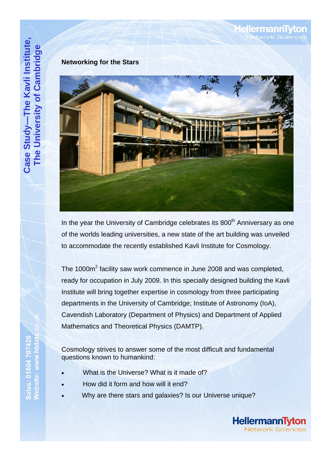## **Networking for the Stars**



In the year the University of Cambridge celebrates its  $800<sup>th</sup>$  Anniversary as one of the worlds leading universities, a new state of the art building was unveiled to accommodate the recently established Kavli Institute for Cosmology.

The 1000m<sup>2</sup> facility saw work commence in June 2008 and was completed, ready for occupation in July 2009. In this specially designed building the Kavli Institute will bring together expertise in cosmology from three participating departments in the University of Cambridge; Institute of Astronomy (IoA), Cavendish Laboratory (Department of Physics) and Department of Applied Mathematics and Theoretical Physics (DAMTP).

Cosmology strives to answer some of the most difficult and fundamental questions known to humankind:

- What is the Universe? What is it made of?
- How did it form and how will it end?
- Why are there stars and galaxies? Is our Universe unique?



**lellermannTyton** work Science: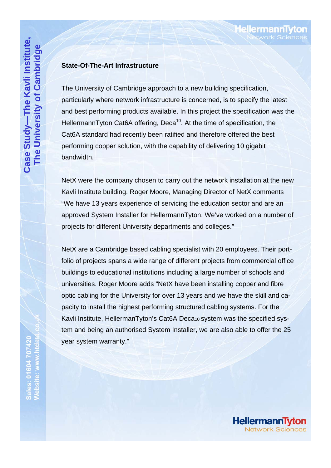#### **State-Of-The-Art Infrastructure**

The University of Cambridge approach to a new building specification, particularly where network infrastructure is concerned, is to specify the latest and best performing products available. In this project the specification was the HellermannTyton Cat6A offering, Deca<sup>10</sup>. At the time of specification, the Cat6A standard had recently been ratified and therefore offered the best performing copper solution, with the capability of delivering 10 gigabit bandwidth.

NetX were the company chosen to carry out the network installation at the new Kavli Institute building. Roger Moore, Managing Director of NetX comments "We have 13 years experience of servicing the education sector and are an approved System Installer for HellermannTyton. We've worked on a number of projects for different University departments and colleges."

NetX are a Cambridge based cabling specialist with 20 employees. Their portfolio of projects spans a wide range of different projects from commercial office buildings to educational institutions including a large number of schools and universities. Roger Moore adds "NetX have been installing copper and fibre optic cabling for the University for over 13 years and we have the skill and capacity to install the highest performing structured cabling systems. For the Kavli Institute, HellermanTyton's Cat6A Deca10 system was the specified system and being an authorised System Installer, we are also able to offer the 25 year system warranty."

**HellermannTy** 

**ellermannT** 

etwork Science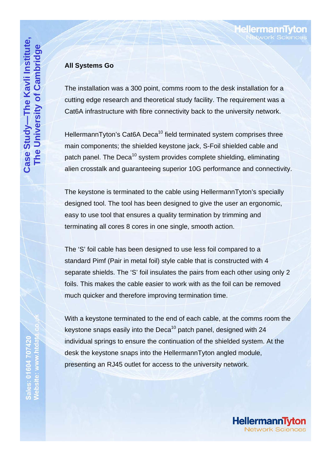### **All Systems Go**

The installation was a 300 point, comms room to the desk installation for a cutting edge research and theoretical study facility. The requirement was a Cat6A infrastructure with fibre connectivity back to the university network.

HellermannTyton's Cat6A Deca<sup>10</sup> field terminated system comprises three main components; the shielded keystone jack, S-Foil shielded cable and patch panel. The Deca<sup>10</sup> system provides complete shielding, eliminating alien crosstalk and guaranteeing superior 10G performance and connectivity.

The keystone is terminated to the cable using HellermannTyton's specially designed tool. The tool has been designed to give the user an ergonomic, easy to use tool that ensures a quality termination by trimming and terminating all cores 8 cores in one single, smooth action.

The 'S' foil cable has been designed to use less foil compared to a standard Pimf (Pair in metal foil) style cable that is constructed with 4 separate shields. The 'S' foil insulates the pairs from each other using only 2 foils. This makes the cable easier to work with as the foil can be removed much quicker and therefore improving termination time.

With a keystone terminated to the end of each cable, at the comms room the keystone snaps easily into the Deca<sup>10</sup> patch panel, designed with  $24$ individual springs to ensure the continuation of the shielded system. At the desk the keystone snaps into the HellermannTyton angled module, presenting an RJ45 outlet for access to the university network.



**Hellermann1**